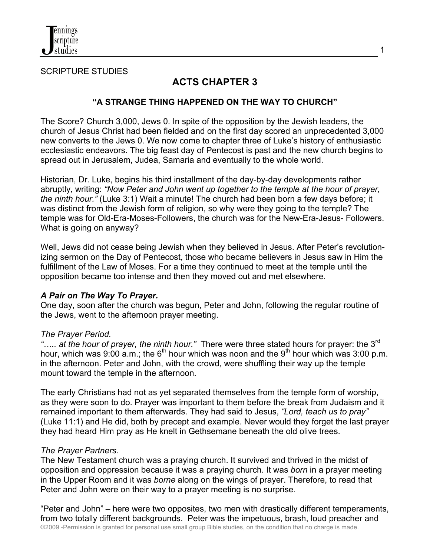

SCRIPTURE STUDIES

# **ACTS CHAPTER 3**

## **"A STRANGE THING HAPPENED ON THE WAY TO CHURCH"**

The Score? Church 3,000, Jews 0. In spite of the opposition by the Jewish leaders, the church of Jesus Christ had been fielded and on the first day scored an unprecedented 3,000 new converts to the Jews 0. We now come to chapter three of Luke's history of enthusiastic ecclesiastic endeavors. The big feast day of Pentecost is past and the new church begins to spread out in Jerusalem, Judea, Samaria and eventually to the whole world.

Historian, Dr. Luke, begins his third installment of the day-by-day developments rather abruptly, writing: *"Now Peter and John went up together to the temple at the hour of prayer, the ninth hour."* (Luke 3:1) Wait a minute! The church had been born a few days before; it was distinct from the Jewish form of religion, so why were they going to the temple? The temple was for Old-Era-Moses-Followers, the church was for the New-Era-Jesus- Followers. What is going on anyway?

Well, Jews did not cease being Jewish when they believed in Jesus. After Peter's revolutionizing sermon on the Day of Pentecost, those who became believers in Jesus saw in Him the fulfillment of the Law of Moses. For a time they continued to meet at the temple until the opposition became too intense and then they moved out and met elsewhere.

## *A Pair on The Way To Prayer.*

One day, soon after the church was begun, Peter and John, following the regular routine of the Jews, went to the afternoon prayer meeting.

## *The Prayer Period.*

*"….. at the hour of prayer, the ninth hour."* There were three stated hours for prayer: the 3rd hour, which was 9:00 a.m.; the  $6<sup>th</sup>$  hour which was noon and the  $9<sup>th</sup>$  hour which was 3:00 p.m. in the afternoon. Peter and John, with the crowd, were shuffling their way up the temple mount toward the temple in the afternoon.

The early Christians had not as yet separated themselves from the temple form of worship, as they were soon to do. Prayer was important to them before the break from Judaism and it remained important to them afterwards. They had said to Jesus, *"Lord, teach us to pray"* (Luke 11:1) and He did, both by precept and example. Never would they forget the last prayer they had heard Him pray as He knelt in Gethsemane beneath the old olive trees.

## *The Prayer Partners*.

The New Testament church was a praying church. It survived and thrived in the midst of opposition and oppression because it was a praying church. It was *born* in a prayer meeting in the Upper Room and it was *borne* along on the wings of prayer. Therefore, to read that Peter and John were on their way to a prayer meeting is no surprise.

©2009 -Permission is granted for personal use small group Bible studies, on the condition that no charge is made. "Peter and John" – here were two opposites, two men with drastically different temperaments, from two totally different backgrounds. Peter was the impetuous, brash, loud preacher and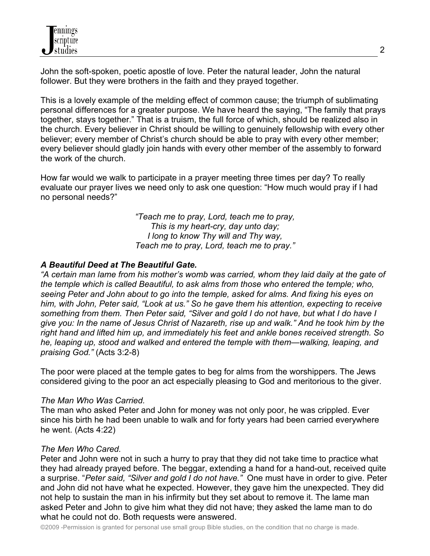John the soft-spoken, poetic apostle of love. Peter the natural leader, John the natural follower. But they were brothers in the faith and they prayed together.

This is a lovely example of the melding effect of common cause; the triumph of sublimating personal differences for a greater purpose. We have heard the saying, "The family that prays together, stays together." That is a truism, the full force of which, should be realized also in the church. Every believer in Christ should be willing to genuinely fellowship with every other believer; every member of Christ's church should be able to pray with every other member; every believer should gladly join hands with every other member of the assembly to forward the work of the church.

How far would we walk to participate in a prayer meeting three times per day? To really evaluate our prayer lives we need only to ask one question: "How much would pray if I had no personal needs?"

> *"Teach me to pray, Lord, teach me to pray, This is my heart-cry, day unto day; I long to know Thy will and Thy way, Teach me to pray, Lord, teach me to pray."*

## *A Beautiful Deed at The Beautiful Gate.*

*"A certain man lame from his mother's womb was carried, whom they laid daily at the gate of the temple which is called Beautiful, to ask alms from those who entered the temple; who, seeing Peter and John about to go into the temple, asked for alms. And fixing his eyes on him, with John, Peter said, "Look at us." So he gave them his attention, expecting to receive something from them. Then Peter said, "Silver and gold I do not have, but what I do have I give you: In the name of Jesus Christ of Nazareth, rise up and walk." And he took him by the right hand and lifted him up, and immediately his feet and ankle bones received strength. So he, leaping up, stood and walked and entered the temple with them—walking, leaping, and praising God."* (Acts 3:2-8)

The poor were placed at the temple gates to beg for alms from the worshippers. The Jews considered giving to the poor an act especially pleasing to God and meritorious to the giver.

## *The Man Who Was Carried.*

The man who asked Peter and John for money was not only poor, he was crippled. Ever since his birth he had been unable to walk and for forty years had been carried everywhere he went. (Acts 4:22)

# *The Men Who Cared.*

Peter and John were not in such a hurry to pray that they did not take time to practice what they had already prayed before. The beggar, extending a hand for a hand-out, received quite a surprise. "*Peter said, "Silver and gold I do not have."* One must have in order to give. Peter and John did not have what he expected. However, they gave him the unexpected. They did not help to sustain the man in his infirmity but they set about to remove it. The lame man asked Peter and John to give him what they did not have; they asked the lame man to do what he could not do. Both requests were answered.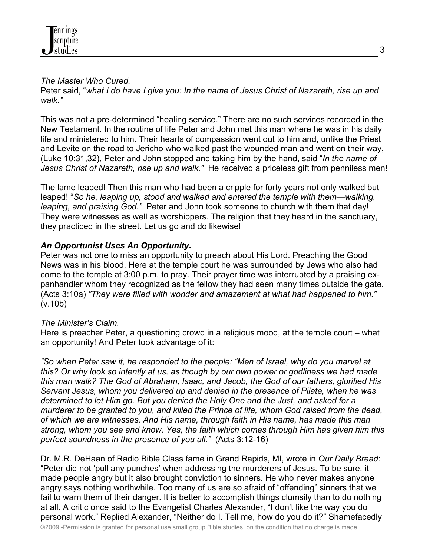

### *The Master Who Cured.*

Peter said, "*what I do have I give you: In the name of Jesus Christ of Nazareth, rise up and walk."* 

This was not a pre-determined "healing service." There are no such services recorded in the New Testament. In the routine of life Peter and John met this man where he was in his daily life and ministered to him. Their hearts of compassion went out to him and, unlike the Priest and Levite on the road to Jericho who walked past the wounded man and went on their way, (Luke 10:31,32), Peter and John stopped and taking him by the hand, said "*In the name of Jesus Christ of Nazareth, rise up and walk."* He received a priceless gift from penniless men!

The lame leaped! Then this man who had been a cripple for forty years not only walked but leaped! "*So he, leaping up, stood and walked and entered the temple with them—walking, leaping, and praising God."* Peter and John took someone to church with them that day! They were witnesses as well as worshippers. The religion that they heard in the sanctuary, they practiced in the street. Let us go and do likewise!

# *An Opportunist Uses An Opportunity.*

Peter was not one to miss an opportunity to preach about His Lord. Preaching the Good News was in his blood. Here at the temple court he was surrounded by Jews who also had come to the temple at 3:00 p.m. to pray. Their prayer time was interrupted by a praising expanhandler whom they recognized as the fellow they had seen many times outside the gate. (Acts 3:10a) *"They were filled with wonder and amazement at what had happened to him."* (v.10b)

## *The Minister's Claim.*

Here is preacher Peter, a questioning crowd in a religious mood, at the temple court – what an opportunity! And Peter took advantage of it:

*"So when Peter saw it, he responded to the people: "Men of Israel, why do you marvel at this? Or why look so intently at us, as though by our own power or godliness we had made this man walk? The God of Abraham, Isaac, and Jacob, the God of our fathers, glorified His Servant Jesus, whom you delivered up and denied in the presence of Pilate, when he was determined to let Him go. But you denied the Holy One and the Just, and asked for a murderer to be granted to you, and killed the Prince of life, whom God raised from the dead, of which we are witnesses. And His name, through faith in His name, has made this man strong, whom you see and know. Yes, the faith which comes through Him has given him this perfect soundness in the presence of you all."* (Acts 3:12-16)

Dr. M.R. DeHaan of Radio Bible Class fame in Grand Rapids, MI, wrote in *Our Daily Bread*: "Peter did not 'pull any punches' when addressing the murderers of Jesus. To be sure, it made people angry but it also brought conviction to sinners. He who never makes anyone angry says nothing worthwhile. Too many of us are so afraid of "offending" sinners that we fail to warn them of their danger. It is better to accomplish things clumsily than to do nothing at all. A critic once said to the Evangelist Charles Alexander, "I don't like the way you do personal work." Replied Alexander, "Neither do I. Tell me, how do you do it?" Shamefacedly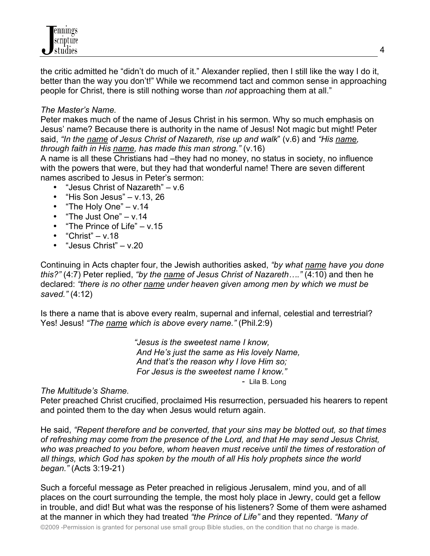

the critic admitted he "didn't do much of it." Alexander replied, then I still like the way I do it, better than the way you don't!" While we recommend tact and common sense in approaching people for Christ, there is still nothing worse than *not* approaching them at all."

### *The Master's Name.*

Peter makes much of the name of Jesus Christ in his sermon. Why so much emphasis on Jesus' name? Because there is authority in the name of Jesus! Not magic but might! Peter said, *"In the name of Jesus Christ of Nazareth, rise up and walk*" (v.6) and *"His name, through faith in His name, has made this man strong."* (v.16)

A name is all these Christians had –they had no money, no status in society, no influence with the powers that were, but they had that wonderful name! There are seven different names ascribed to Jesus in Peter's sermon:

- "Jesus Christ of Nazareth" v.6
- "His Son Jesus" v.13, 26
- "The Holy One" v.14
- "The Just One" v.14
- "The Prince of Life" v.15
- "Christ"  $v.18$
- "Jesus Christ" v.20

Continuing in Acts chapter four, the Jewish authorities asked, *"by what name have you done this?"* (4:7) Peter replied, *"by the name of Jesus Christ of Nazareth…."* (4:10) and then he declared: *"there is no other name under heaven given among men by which we must be saved."* (4:12)

Is there a name that is above every realm, supernal and infernal, celestial and terrestrial? Yes! Jesus! *"The name which is above every name."* (Phil.2:9)

> *"Jesus is the sweetest name I know, And He's just the same as His lovely Name, And that's the reason why I love Him so; For Jesus is the sweetest name I know." -* Lila B. Long

*The Multitude's Shame.*

Peter preached Christ crucified, proclaimed His resurrection, persuaded his hearers to repent and pointed them to the day when Jesus would return again.

He said, *"Repent therefore and be converted, that your sins may be blotted out, so that times of refreshing may come from the presence of the Lord, and that He may send Jesus Christ, who was preached to you before, whom heaven must receive until the times of restoration of all things, which God has spoken by the mouth of all His holy prophets since the world began."* (Acts 3:19-21)

Such a forceful message as Peter preached in religious Jerusalem, mind you, and of all places on the court surrounding the temple, the most holy place in Jewry, could get a fellow in trouble, and did! But what was the response of his listeners? Some of them were ashamed at the manner in which they had treated *"the Prince of Life"* and they repented. *"Many of*